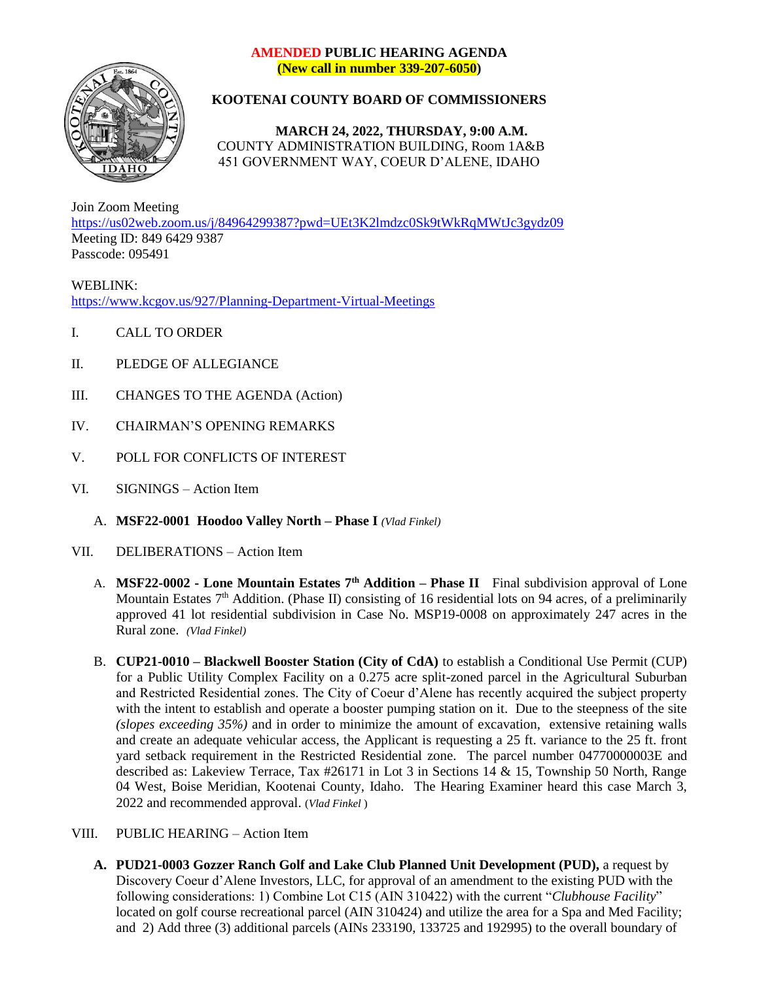## **AMENDED PUBLIC HEARING AGENDA (New call in number 339-207-6050)**



## **KOOTENAI COUNTY BOARD OF COMMISSIONERS**

**MARCH 24, 2022, THURSDAY, 9:00 A.M.** COUNTY ADMINISTRATION BUILDING, Room 1A&B 451 GOVERNMENT WAY, COEUR D'ALENE, IDAHO

Join Zoom Meeting <https://us02web.zoom.us/j/84964299387?pwd=UEt3K2lmdzc0Sk9tWkRqMWtJc3gydz09> Meeting ID: 849 6429 9387 Passcode: 095491

WEBLINK: <https://www.kcgov.us/927/Planning-Department-Virtual-Meetings>

- I. CALL TO ORDER
- II. PLEDGE OF ALLEGIANCE
- III. CHANGES TO THE AGENDA (Action)
- IV. CHAIRMAN'S OPENING REMARKS
- V. POLL FOR CONFLICTS OF INTEREST
- VI. SIGNINGS Action Item
	- A. **MSF22-0001 Hoodoo Valley North – Phase I** *(Vlad Finkel)*
- VII. DELIBERATIONS Action Item
	- A. **MSF22-0002 - Lone Mountain Estates 7th Addition – Phase II** Final subdivision approval of Lone Mountain Estates  $7<sup>th</sup>$  Addition. (Phase II) consisting of 16 residential lots on 94 acres, of a preliminarily approved 41 lot residential subdivision in Case No. MSP19-0008 on approximately 247 acres in the Rural zone. *(Vlad Finkel)*
	- B. **CUP21-0010 – Blackwell Booster Station (City of CdA)** to establish a Conditional Use Permit (CUP) for a Public Utility Complex Facility on a 0.275 acre split-zoned parcel in the Agricultural Suburban and Restricted Residential zones. The City of Coeur d'Alene has recently acquired the subject property with the intent to establish and operate a booster pumping station on it. Due to the steepness of the site *(slopes exceeding 35%)* and in order to minimize the amount of excavation, extensive retaining walls and create an adequate vehicular access, the Applicant is requesting a 25 ft. variance to the 25 ft. front yard setback requirement in the Restricted Residential zone. The parcel number 04770000003E and described as: Lakeview Terrace, Tax #26171 in Lot 3 in Sections 14 & 15, Township 50 North, Range 04 West, Boise Meridian, Kootenai County, Idaho. The Hearing Examiner heard this case March 3, 2022 and recommended approval. (*Vlad Finkel* )
- VIII. PUBLIC HEARING Action Item
	- **A. PUD21-0003 Gozzer Ranch Golf and Lake Club Planned Unit Development (PUD),** a request by Discovery Coeur d'Alene Investors, LLC, for approval of an amendment to the existing PUD with the following considerations: 1) Combine Lot C15 (AIN 310422) with the current "*Clubhouse Facility*" located on golf course recreational parcel (AIN 310424) and utilize the area for a Spa and Med Facility; and 2) Add three (3) additional parcels (AINs 233190, 133725 and 192995) to the overall boundary of